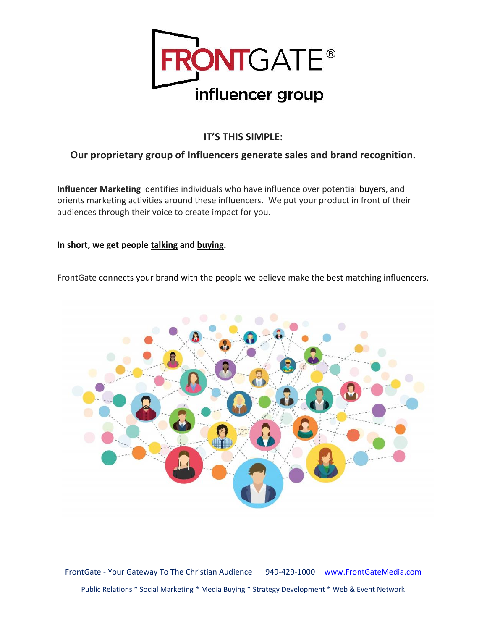

## **IT'S THIS SIMPLE:**

## **Our proprietary group of Influencers generate sales and brand recognition.**

**Influencer Marketing** identifies individuals who have influence over potential buyers, and orients marketing activities around these influencers. We put your product in front of their audiences through their voice to create impact for you.

## **In short, we get people talking and buying.**

FrontGate connects your brand with the people we believe make the best matching influencers.



FrontGate - Your Gateway To The Christian Audience 949-429-1000 www.FrontGateMedia.com Public Relations \* Social Marketing \* Media Buying \* Strategy Development \* Web & Event Network